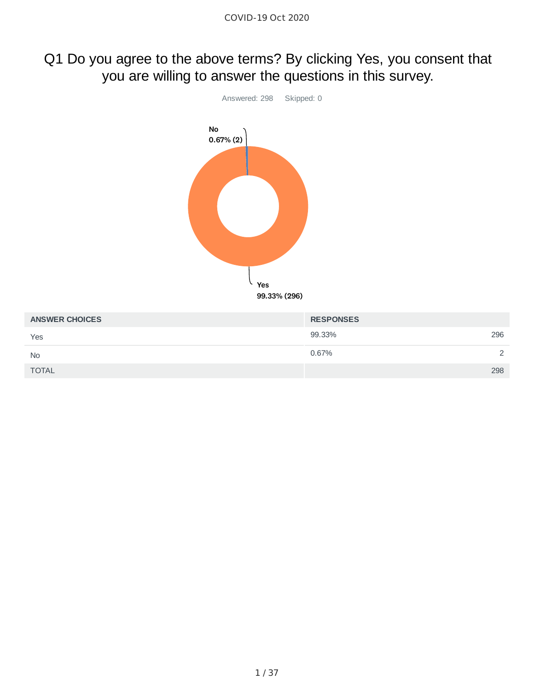# Q1 Do you agree to the above terms? By clicking Yes, you consent that you are willing to answer the questions in this survey.



| <b>ANSWER CHOICES</b> | <b>RESPONSES</b> |               |
|-----------------------|------------------|---------------|
| Yes                   | 99.33%           | 296           |
| <b>No</b>             | 0.67%            | $\mathcal{D}$ |
| <b>TOTAL</b>          |                  | 298           |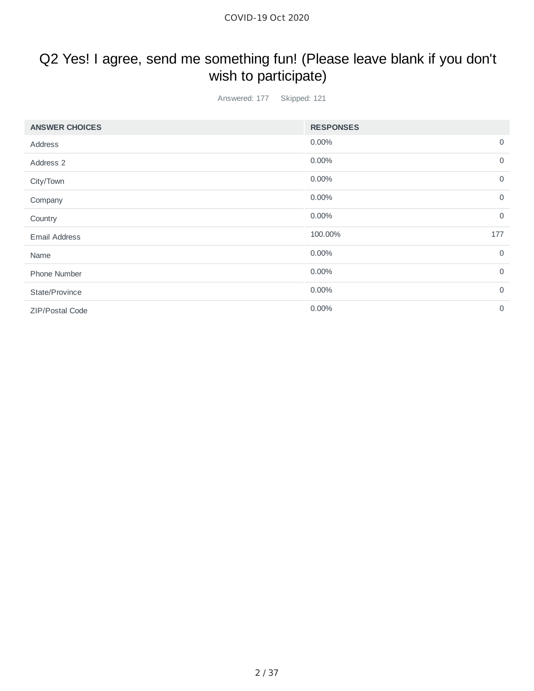# Q2 Yes! I agree, send me something fun! (Please leave blank if you don't wish to participate)

Answered: 177 Skipped: 121

| <b>ANSWER CHOICES</b>  | <b>RESPONSES</b> |                |
|------------------------|------------------|----------------|
| Address                | 0.00%            | $\overline{0}$ |
| Address 2              | 0.00%            | $\mathbf 0$    |
| City/Town              | 0.00%            | $\mathbf 0$    |
| Company                | 0.00%            | $\overline{0}$ |
| Country                | 0.00%            | $\mathbf 0$    |
| <b>Email Address</b>   | 100.00%          | 177            |
| Name                   | 0.00%            | $\overline{0}$ |
| Phone Number           | 0.00%            | $\overline{0}$ |
| State/Province         | 0.00%            | $\overline{0}$ |
| <b>ZIP/Postal Code</b> | 0.00%            | $\overline{0}$ |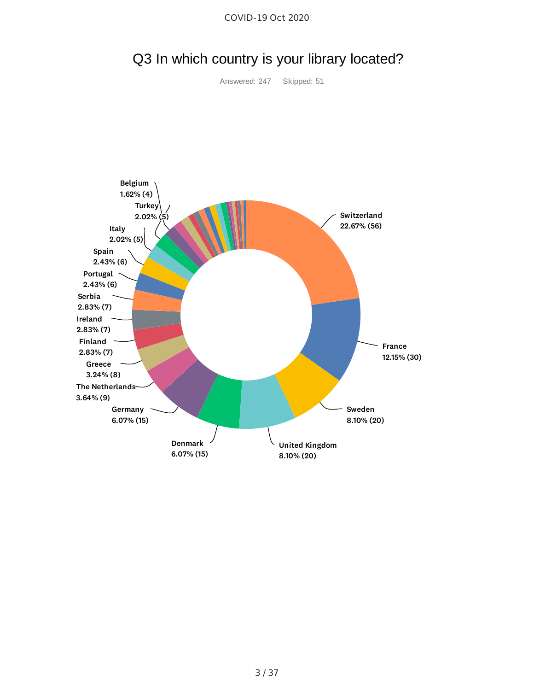

Q3 In which country is your library located?

COVID-19 Oct 2020

Answered: 247 Skipped: 51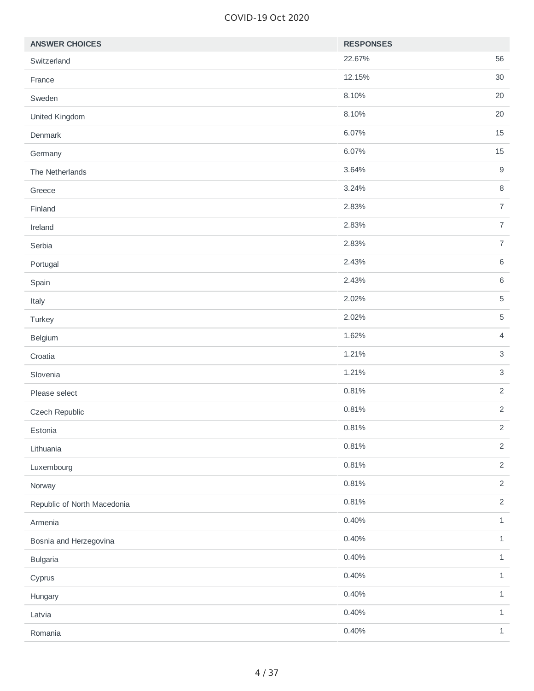#### COVID-19 Oct 2020

| <b>ANSWER CHOICES</b>       | <b>RESPONSES</b> |                |
|-----------------------------|------------------|----------------|
| Switzerland                 | 22.67%           | 56             |
| France                      | 12.15%           | 30             |
| Sweden                      | 8.10%            | 20             |
| United Kingdom              | 8.10%            | 20             |
| Denmark                     | 6.07%            | 15             |
| Germany                     | 6.07%            | 15             |
| The Netherlands             | 3.64%            | $9\,$          |
| Greece                      | 3.24%            | $\, 8$         |
| Finland                     | 2.83%            | $\overline{7}$ |
| Ireland                     | 2.83%            | $\overline{7}$ |
| Serbia                      | 2.83%            | $\overline{7}$ |
| Portugal                    | 2.43%            | $\,6\,$        |
| Spain                       | 2.43%            | $\,6\,$        |
| Italy                       | 2.02%            | $\sqrt{5}$     |
| Turkey                      | 2.02%            | $\sqrt{5}$     |
| Belgium                     | 1.62%            | $\overline{4}$ |
| Croatia                     | 1.21%            | $\mathsf 3$    |
| Slovenia                    | 1.21%            | $\mathsf 3$    |
| Please select               | 0.81%            | $\overline{2}$ |
| Czech Republic              | 0.81%            | $\overline{c}$ |
| Estonia                     | 0.81%            | $\overline{2}$ |
| Lithuania                   | 0.81%            | $\overline{2}$ |
| Luxembourg                  | 0.81%            | $\overline{2}$ |
| Norway                      | 0.81%            | $\overline{2}$ |
| Republic of North Macedonia | 0.81%            | $\overline{2}$ |
| Armenia                     | 0.40%            | $\mathbf 1$    |
| Bosnia and Herzegovina      | 0.40%            | $\mathbf 1$    |
| <b>Bulgaria</b>             | 0.40%            | $\mathbf{1}$   |
| Cyprus                      | 0.40%            | $\mathbf 1$    |
| Hungary                     | 0.40%            | $\mathbf{1}$   |
| Latvia                      | 0.40%            | $\mathbf 1$    |
| Romania                     | 0.40%            | $\mathbf 1$    |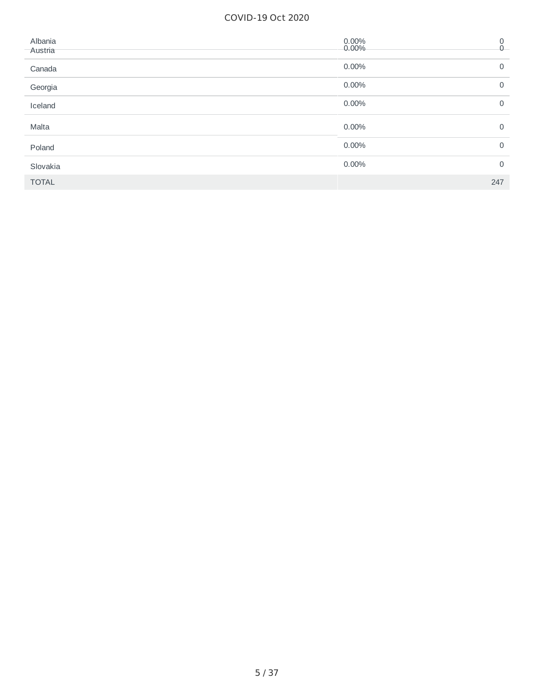#### COVID-19 Oct 2020

| Albania<br>Austria | 0.00%<br>$0.00\%$ | 0<br>$\overline{0}$ |
|--------------------|-------------------|---------------------|
| Canada             | 0.00%             | $\Omega$            |
| Georgia            | 0.00%             | 0                   |
| Iceland            | 0.00%             | 0                   |
| Malta              | 0.00%             | $\Omega$            |
| Poland             | 0.00%             | 0                   |
| Slovakia           | 0.00%             | 0                   |
| <b>TOTAL</b>       |                   | 247                 |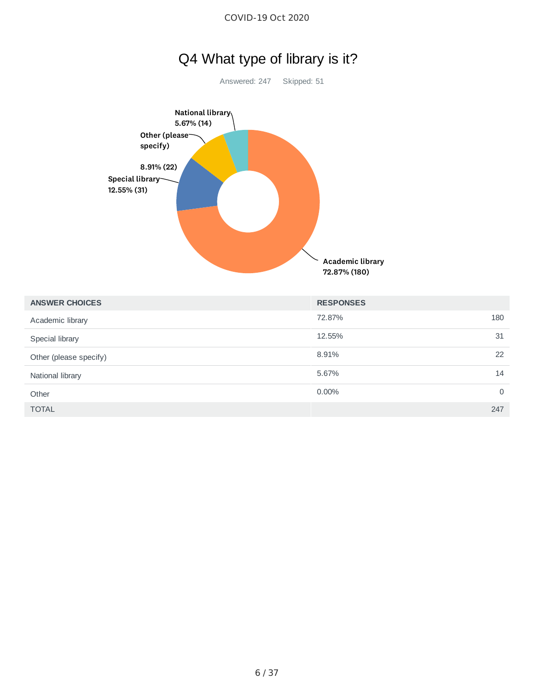

72.87% (180)

| <b>ANSWER CHOICES</b>  | <b>RESPONSES</b>     |
|------------------------|----------------------|
| Academic library       | 180<br>72.87%        |
| Special library        | 12.55%<br>31         |
| Other (please specify) | 8.91%<br>22          |
| National library       | 5.67%<br>14          |
| Other                  | 0.00%<br>$\mathbf 0$ |
| <b>TOTAL</b>           | 247                  |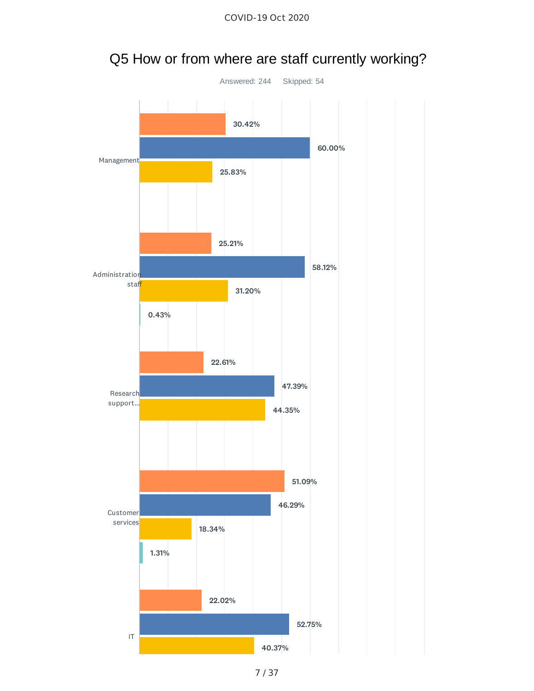

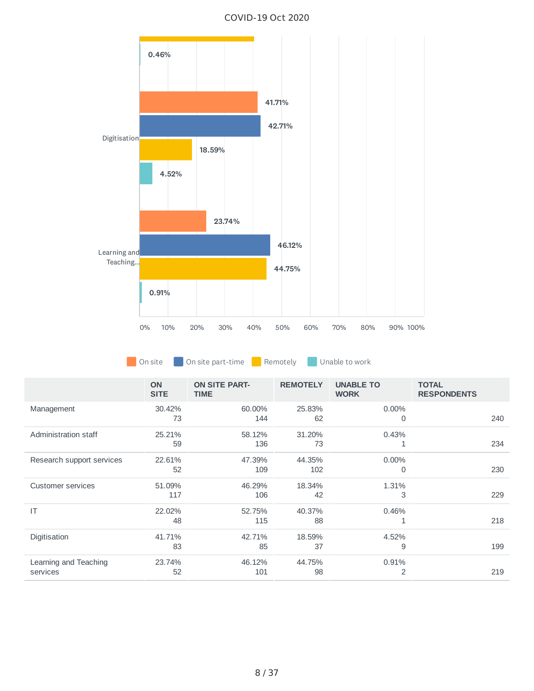

COVID-19 Oct 2020

On site **O** On site part-time **Remotely O** Unable to work

|                           | <b>ON</b><br><b>SITE</b> | <b>ON SITE PART-</b><br><b>TIME</b> | <b>REMOTELY</b> | <b>UNABLE TO</b><br><b>WORK</b> | <b>TOTAL</b><br><b>RESPONDENTS</b> |
|---------------------------|--------------------------|-------------------------------------|-----------------|---------------------------------|------------------------------------|
| Management                | 30.42%                   | 60.00%                              | 25.83%          | 0.00%                           |                                    |
|                           | 73                       | 144                                 | 62              | 0                               | 240                                |
| Administration staff      | 25.21%                   | 58.12%                              | 31.20%          | 0.43%                           |                                    |
|                           | 59                       | 136                                 | 73              |                                 | 234                                |
| Research support services | 22.61%                   | 47.39%                              | 44.35%          | 0.00%                           |                                    |
|                           | 52                       | 109                                 | 102             | 0                               | 230                                |
| Customer services         | 51.09%                   | 46.29%                              | 18.34%          | 1.31%                           |                                    |
|                           | 117                      | 106                                 | 42              | 3                               | 229                                |
| IT                        | 22.02%                   | 52.75%                              | 40.37%          | 0.46%                           |                                    |
|                           | 48                       | 115                                 | 88              |                                 | 218                                |
| Digitisation              | 41.71%                   | 42.71%                              | 18.59%          | 4.52%                           |                                    |
|                           | 83                       | 85                                  | 37              | 9                               | 199                                |
| Learning and Teaching     | 23.74%                   | 46.12%                              | 44.75%          | 0.91%                           |                                    |
| services                  | 52                       | 101                                 | 98              | 2                               | 219                                |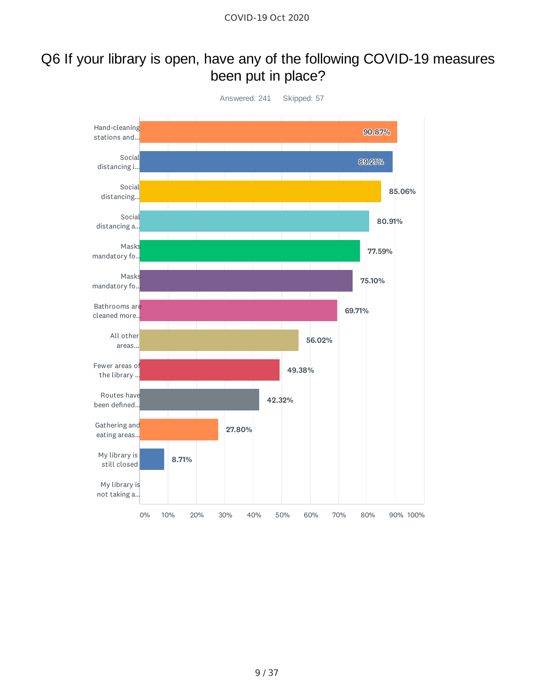### Q6 If your library is open, have any of the following COVID-19 measures been put in place?

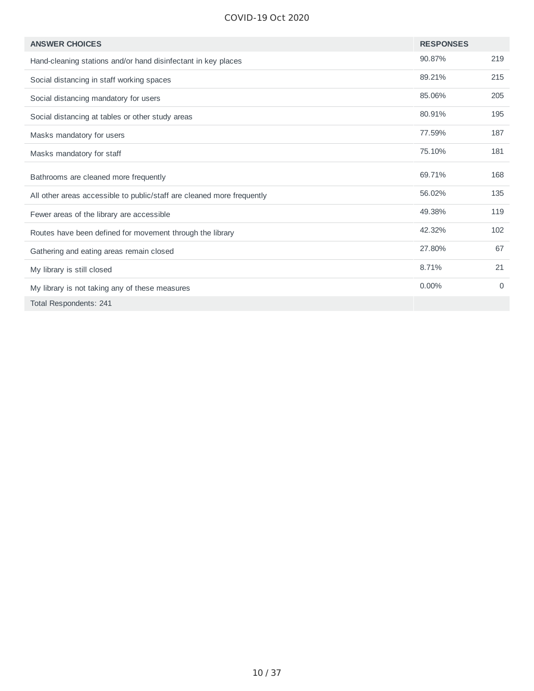#### COVID-19 Oct 2020

| <b>ANSWER CHOICES</b>                                                  | <b>RESPONSES</b> |          |
|------------------------------------------------------------------------|------------------|----------|
| Hand-cleaning stations and/or hand disinfectant in key places          | 90.87%           | 219      |
| Social distancing in staff working spaces                              | 89.21%           | 215      |
| Social distancing mandatory for users                                  | 85.06%           | 205      |
| Social distancing at tables or other study areas                       | 80.91%           | 195      |
| Masks mandatory for users                                              | 77.59%           | 187      |
| Masks mandatory for staff                                              | 75.10%           | 181      |
| Bathrooms are cleaned more frequently                                  | 69.71%           | 168      |
| All other areas accessible to public/staff are cleaned more frequently | 56.02%           | 135      |
| Fewer areas of the library are accessible                              | 49.38%           | 119      |
| Routes have been defined for movement through the library              | 42.32%           | 102      |
| Gathering and eating areas remain closed                               | 27.80%           | 67       |
| My library is still closed                                             | 8.71%            | 21       |
| My library is not taking any of these measures                         | 0.00%            | $\Omega$ |
| Total Respondents: 241                                                 |                  |          |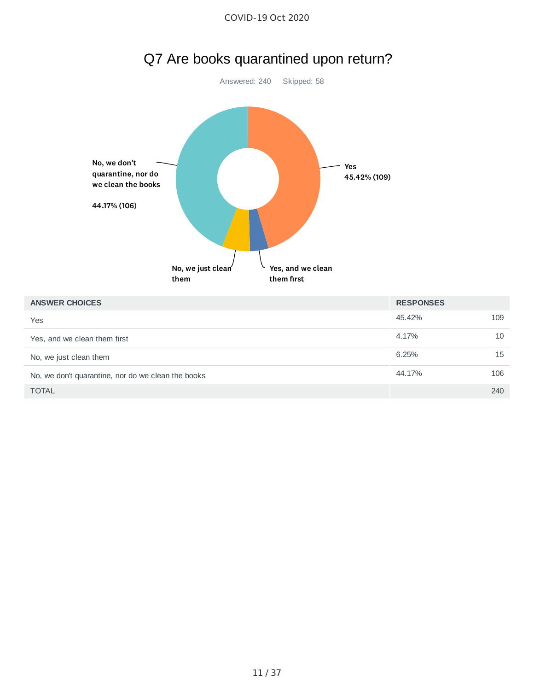

| Yes, and we clean them first                       | 4.17%  | 10  |
|----------------------------------------------------|--------|-----|
| No, we just clean them                             | 6.25%  | 15  |
| No, we don't quarantine, nor do we clean the books | 44.17% | 106 |
| <b>TOTAL</b>                                       |        | 240 |
|                                                    |        |     |

**ANSWER CHOICES RESPONSES**

No, we just clean<sup>'</sup>

them

Yes

Yes, and we clean

them first

45.42% 109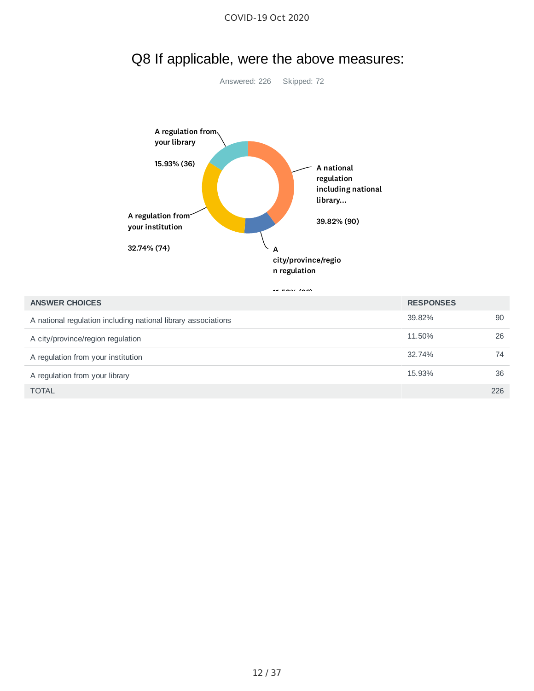

### Q8 If applicable, were the above measures:

Answered: 226 Skipped: 72

1111111111100

| <b>ANSWER CHOICES</b>                                         | <b>RESPONSES</b> |     |
|---------------------------------------------------------------|------------------|-----|
| A national regulation including national library associations | 39.82%           | 90  |
| A city/province/region regulation                             | 11.50%           | 26  |
| A regulation from your institution                            | 32.74%           | 74  |
| A regulation from your library                                | 15.93%           | 36  |
| <b>TOTAL</b>                                                  |                  | 226 |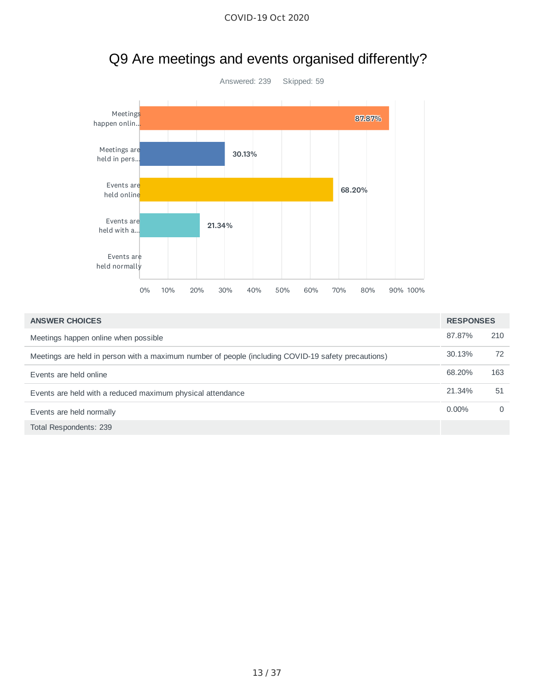

# Q9 Are meetings and events organised differently?

| <b>ANSWER CHOICES</b>                                                                               | <b>RESPONSES</b> |          |
|-----------------------------------------------------------------------------------------------------|------------------|----------|
| Meetings happen online when possible                                                                | 87.87%           | 210      |
| Meetings are held in person with a maximum number of people (including COVID-19 safety precautions) | 30.13%           | 72       |
| Events are held online                                                                              | 68.20%           | 163      |
| Events are held with a reduced maximum physical attendance                                          | 21.34%           | 51       |
| Events are held normally                                                                            | $0.00\%$         | $\Omega$ |
| Total Respondents: 239                                                                              |                  |          |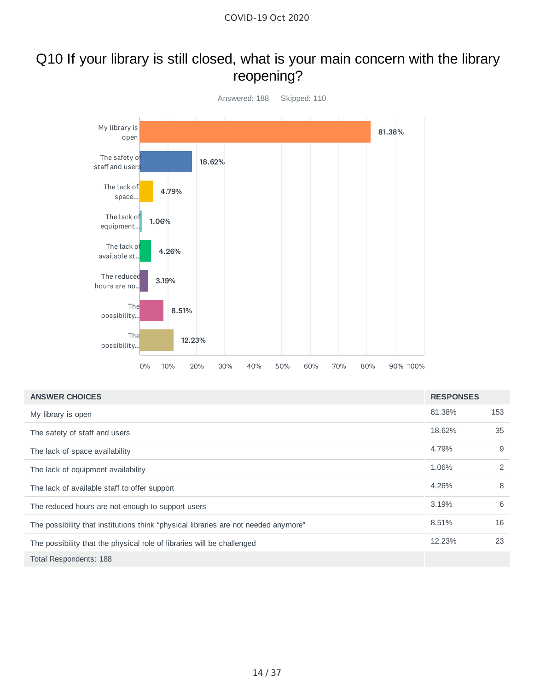# Q10 If your library is still closed, what is your main concern with the library reopening?



| <b>ANSWER CHOICES</b>                                                               | <b>RESPONSES</b> |     |
|-------------------------------------------------------------------------------------|------------------|-----|
| My library is open                                                                  | 81.38%           | 153 |
| The safety of staff and users                                                       | 18.62%           | 35  |
| The lack of space availability                                                      | 4.79%            | 9   |
| The lack of equipment availability                                                  | 1.06%            | 2   |
| The lack of available staff to offer support                                        | 4.26%            | 8   |
| The reduced hours are not enough to support users                                   | 3.19%            | 6   |
| The possibility that institutions think "physical libraries are not needed anymore" | 8.51%            | 16  |
| The possibility that the physical role of libraries will be challenged              | 12.23%           | 23  |
| Total Respondents: 188                                                              |                  |     |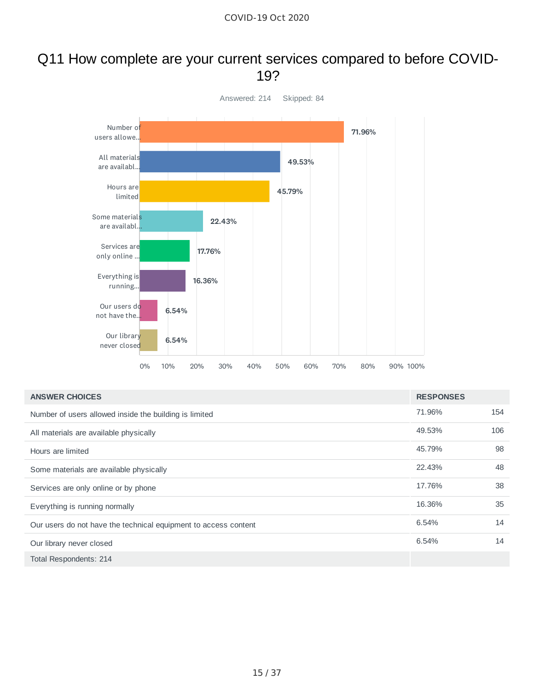#### Q11 How complete are your current services compared to before COVID-19?



| <b>ANSWER CHOICES</b>                                           | <b>RESPONSES</b> |     |
|-----------------------------------------------------------------|------------------|-----|
| Number of users allowed inside the building is limited          | 71.96%           | 154 |
| All materials are available physically                          | 49.53%           | 106 |
| Hours are limited                                               | 45.79%           | 98  |
| Some materials are available physically                         | 22.43%           | 48  |
| Services are only online or by phone                            | 17.76%           | 38  |
| Everything is running normally                                  | 16.36%           | 35  |
| Our users do not have the technical equipment to access content | 6.54%            | 14  |
| Our library never closed                                        | 6.54%            | 14  |
| Total Respondents: 214                                          |                  |     |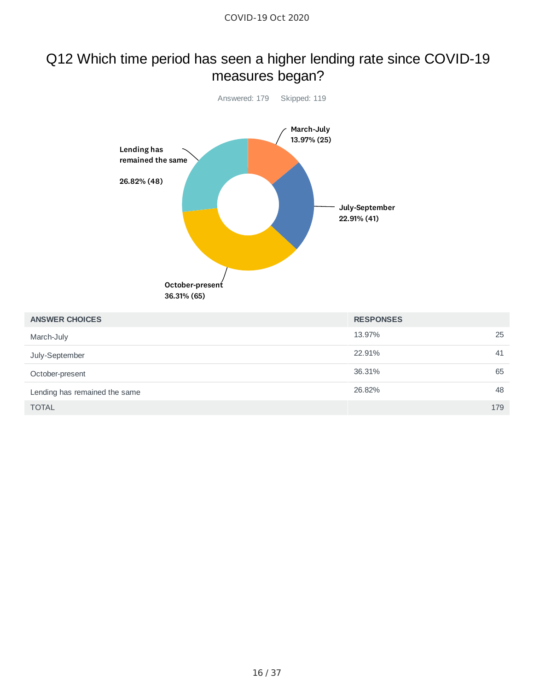## Q12 Which time period has seen a higher lending rate since COVID-19 measures began?



| <b>ANSWER CHOICES</b>         | <b>RESPONSES</b> |     |
|-------------------------------|------------------|-----|
| March-July                    | 13.97%           | 25  |
| July-September                | 22.91%           | 41  |
| October-present               | 36.31%           | 65  |
| Lending has remained the same | 26.82%           | 48  |
| <b>TOTAL</b>                  |                  | 179 |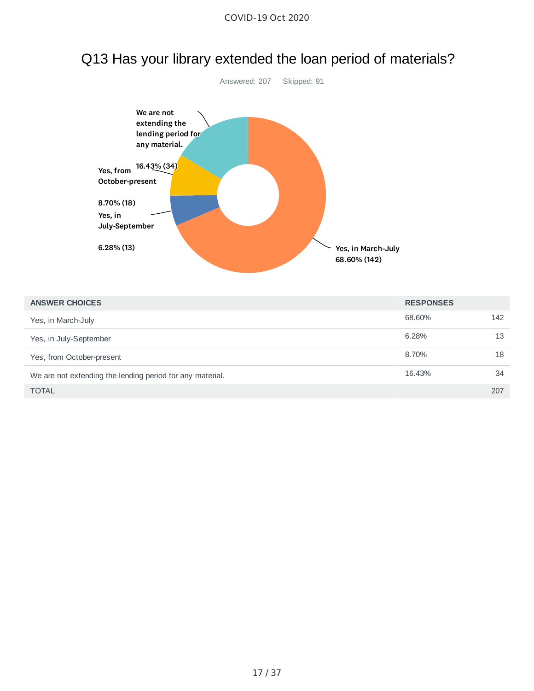

## Q13 Has your library extended the loan period of materials?

| <b>ANSWER CHOICES</b>                                     | <b>RESPONSES</b> |     |
|-----------------------------------------------------------|------------------|-----|
| Yes, in March-July                                        | 68.60%           | 142 |
| Yes, in July-September                                    | 6.28%            | 13  |
| Yes, from October-present                                 | 8.70%            | 18  |
| We are not extending the lending period for any material. | 16.43%           | 34  |
| <b>TOTAL</b>                                              |                  | 207 |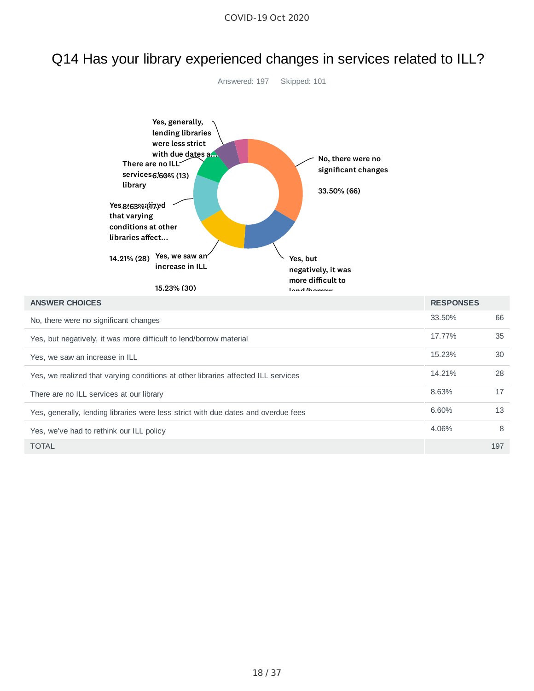# Q14 Has your library experienced changes in services related to ILL?

Answered: 197 Skipped: 101

| Yes, generally,<br>lending libraries<br>were less strict<br>with due dates a<br>No, there were no<br>There are no ILL<br>significant changes<br>services 6.60% (13)<br>library<br>33.50% (66)<br>Yes,8163%(17)d<br>that varying<br>conditions at other<br>libraries affect<br>Yes, we saw an<br>14.21% (28)<br>Yes, but<br>increase in ILL<br>negatively, it was<br>more difficult to<br>15.23% (30)<br><b>Land Inaugure</b> |                  |     |
|------------------------------------------------------------------------------------------------------------------------------------------------------------------------------------------------------------------------------------------------------------------------------------------------------------------------------------------------------------------------------------------------------------------------------|------------------|-----|
| <b>ANSWER CHOICES</b>                                                                                                                                                                                                                                                                                                                                                                                                        | <b>RESPONSES</b> |     |
| No, there were no significant changes                                                                                                                                                                                                                                                                                                                                                                                        | 33.50%           | 66  |
| Yes, but negatively, it was more difficult to lend/borrow material                                                                                                                                                                                                                                                                                                                                                           | 17.77%           | 35  |
| Yes, we saw an increase in ILL                                                                                                                                                                                                                                                                                                                                                                                               | 15.23%           | 30  |
| Yes, we realized that varying conditions at other libraries affected ILL services                                                                                                                                                                                                                                                                                                                                            | 14.21%           | 28  |
| There are no ILL services at our library                                                                                                                                                                                                                                                                                                                                                                                     | 8.63%            | 17  |
| Yes, generally, lending libraries were less strict with due dates and overdue fees                                                                                                                                                                                                                                                                                                                                           | 6.60%            | 13  |
| Yes, we've had to rethink our ILL policy                                                                                                                                                                                                                                                                                                                                                                                     | 4.06%            | 8   |
| <b>TOTAL</b>                                                                                                                                                                                                                                                                                                                                                                                                                 |                  | 197 |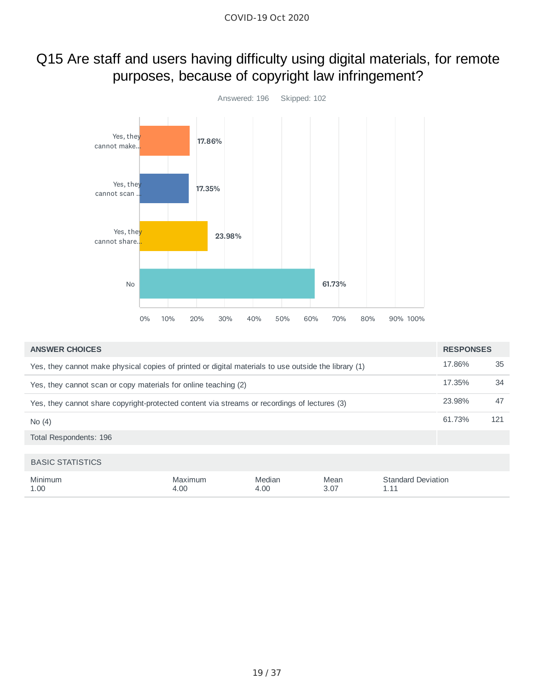# Q15 Are staff and users having difficulty using digital materials, for remote purposes, because of copyright law infringement?



| <b>ANSWER CHOICES</b>                                                                                | <b>RESPONSES</b> |     |
|------------------------------------------------------------------------------------------------------|------------------|-----|
| Yes, they cannot make physical copies of printed or digital materials to use outside the library (1) | 17.86%           | 35  |
| Yes, they cannot scan or copy materials for online teaching (2)                                      | 17.35%           | 34  |
| Yes, they cannot share copyright-protected content via streams or recordings of lectures (3)         | 23.98%           | 47  |
| No(4)                                                                                                | 61.73%           | 121 |
| Total Respondents: 196                                                                               |                  |     |
|                                                                                                      |                  |     |
| <b>BASIC STATISTICS</b>                                                                              |                  |     |

| Minimum | Maximum | Median | Mean | Standard Deviation |
|---------|---------|--------|------|--------------------|
| 1.00    | 4.00    | 4.00   | 3.07 | ----               |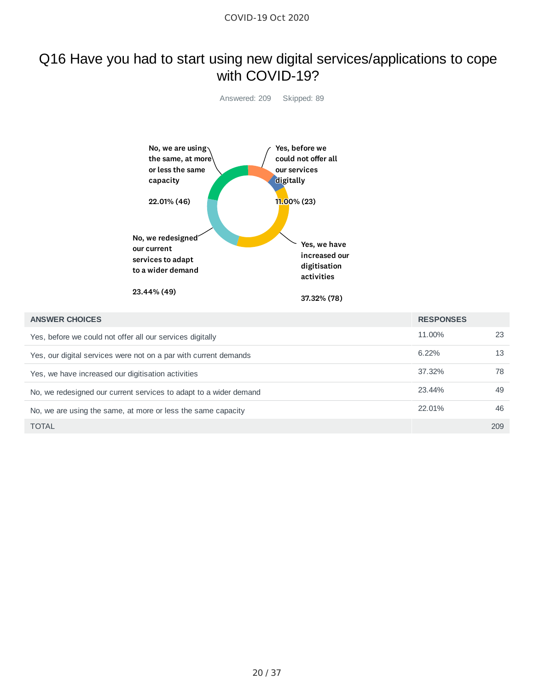### Q16 Have you had to start using new digital services/applications to cope with COVID-19?



| <b>ANSWER CHOICES</b>                                             | <b>RESPONSES</b> |     |
|-------------------------------------------------------------------|------------------|-----|
| Yes, before we could not offer all our services digitally         | 11.00%           | 23  |
| Yes, our digital services were not on a par with current demands  | $6.22\%$         | 13  |
| Yes, we have increased our digitisation activities                | 37.32%           | 78  |
| No, we redesigned our current services to adapt to a wider demand | 23.44%           | 49  |
| No, we are using the same, at more or less the same capacity      | 22.01%           | 46  |
| <b>TOTAL</b>                                                      |                  | 209 |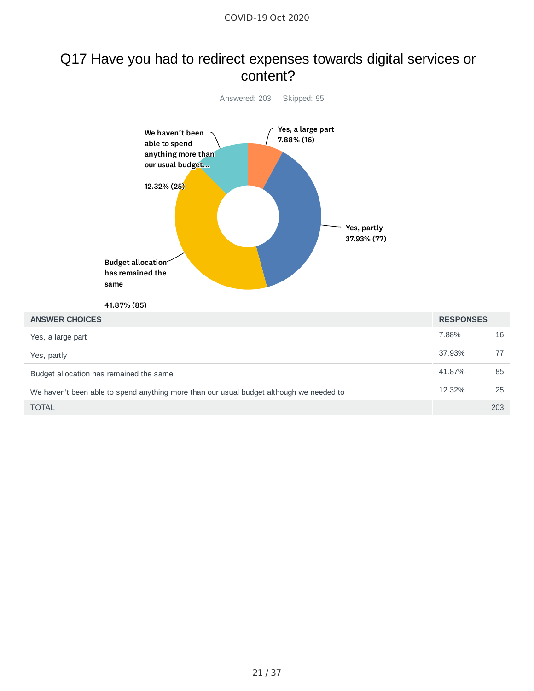#### Q17 Have you had to redirect expenses towards digital services or content?

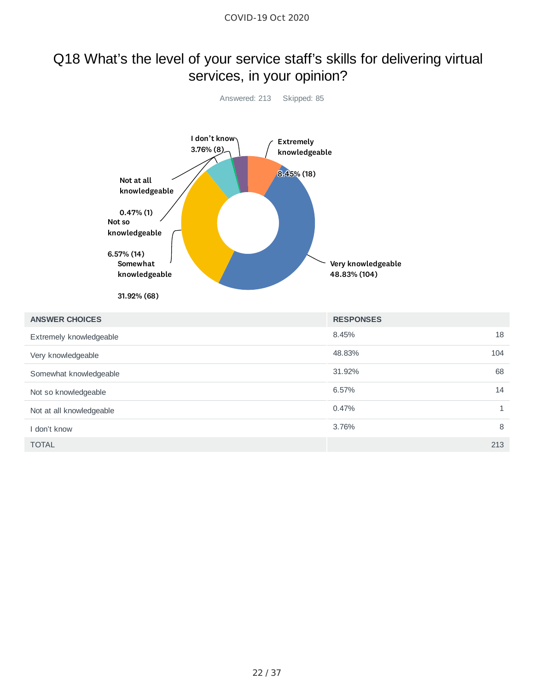### Q18 What's the level of your service staff's skills for delivering virtual services, in your opinion?



| <b>ANSWER CHOICES</b>    | <b>RESPONSES</b> |   |
|--------------------------|------------------|---|
| Extremely knowledgeable  | 18<br>8.45%      |   |
| Very knowledgeable       | 48.83%<br>104    |   |
| Somewhat knowledgeable   | 68<br>31.92%     |   |
| Not so knowledgeable     | 6.57%<br>14      |   |
| Not at all knowledgeable | 0.47%            | 1 |
| I don't know             | 3.76%            | 8 |
| <b>TOTAL</b>             | 213              |   |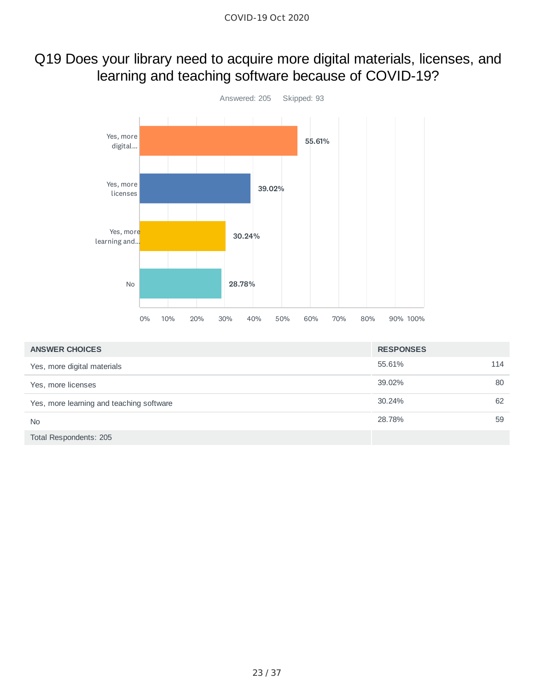### Q19 Does your library need to acquire more digital materials, licenses, and learning and teaching software because of COVID-19?



| <b>ANSWER CHOICES</b>                    | <b>RESPONSES</b> |     |
|------------------------------------------|------------------|-----|
| Yes, more digital materials              | 55.61%           | 114 |
| Yes, more licenses                       | 39.02%           | 80  |
| Yes, more learning and teaching software | 30.24%           | 62  |
| <b>No</b>                                | 28.78%           | 59  |
| Total Respondents: 205                   |                  |     |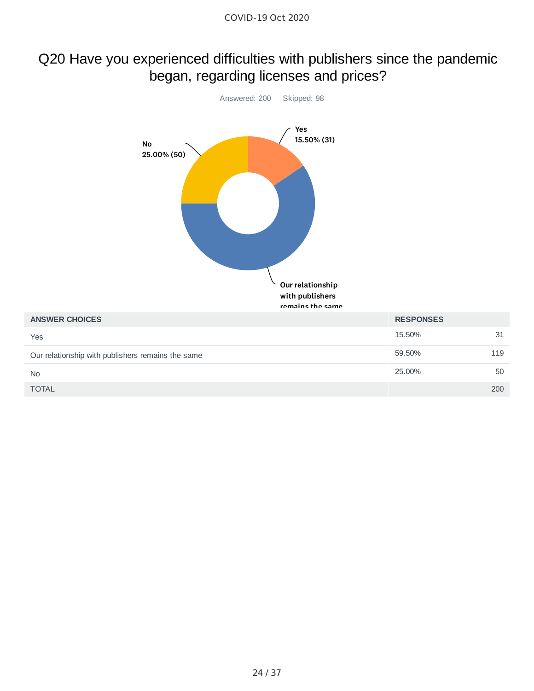### Q20 Have you experienced difficulties with publishers since the pandemic began, regarding licenses and prices?

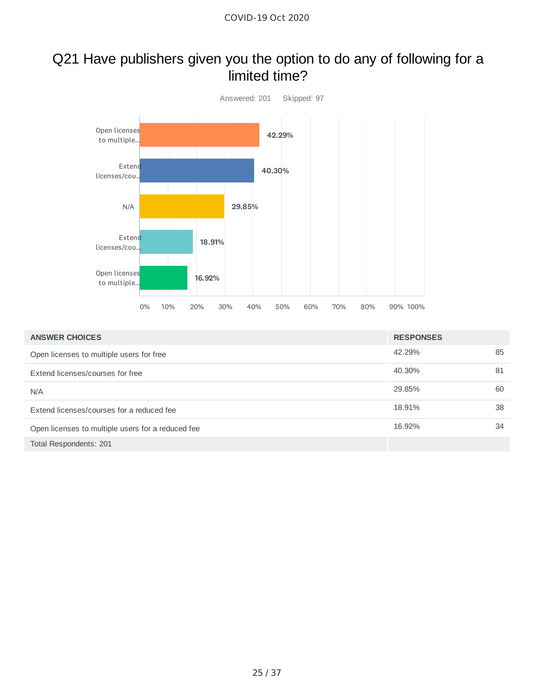#### Q21 Have publishers given you the option to do any of following for a limited time?



| <b>ANSWER CHOICES</b>                             | <b>RESPONSES</b> |    |
|---------------------------------------------------|------------------|----|
| Open licenses to multiple users for free          | 42.29%           | 85 |
| Extend licenses/courses for free                  | 40.30%           | 81 |
| N/A                                               | 29.85%           | 60 |
| Extend licenses/courses for a reduced fee         | 18.91%           | 38 |
| Open licenses to multiple users for a reduced fee | 16.92%           | 34 |
| Total Respondents: 201                            |                  |    |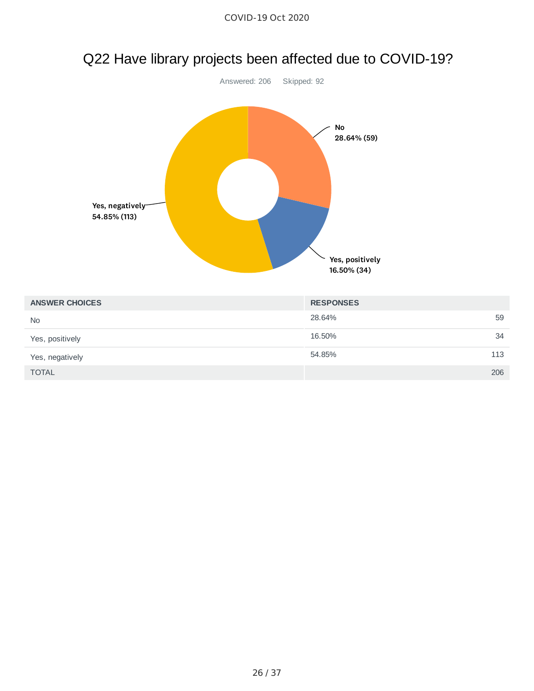

# Q22 Have library projects been affected due to COVID-19?

| <b>ANSWER CHOICES</b> | <b>RESPONSES</b> |     |
|-----------------------|------------------|-----|
| <b>No</b>             | 28.64%           | 59  |
| Yes, positively       | 16.50%           | 34  |
| Yes, negatively       | 54.85%           | 113 |
| <b>TOTAL</b>          |                  | 206 |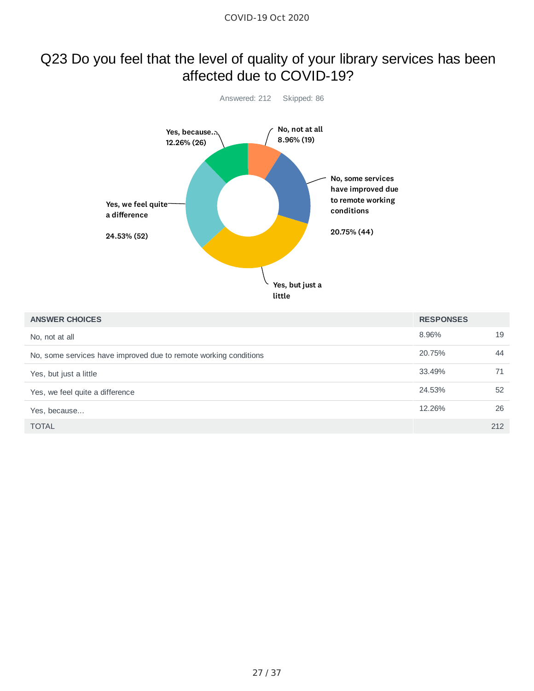## Q23 Do you feel that the level of quality of your library services has been affected due to COVID-19?



| <b>ANSWER CHOICES</b>                                            | <b>RESPONSES</b> |     |
|------------------------------------------------------------------|------------------|-----|
| No, not at all                                                   | 8.96%            | 19  |
| No, some services have improved due to remote working conditions | 20.75%           | 44  |
| Yes, but just a little                                           | 33.49%           | 71  |
| Yes, we feel quite a difference                                  | 24.53%           | 52  |
| Yes, because                                                     | 12.26%           | 26  |
| <b>TOTAL</b>                                                     |                  | 212 |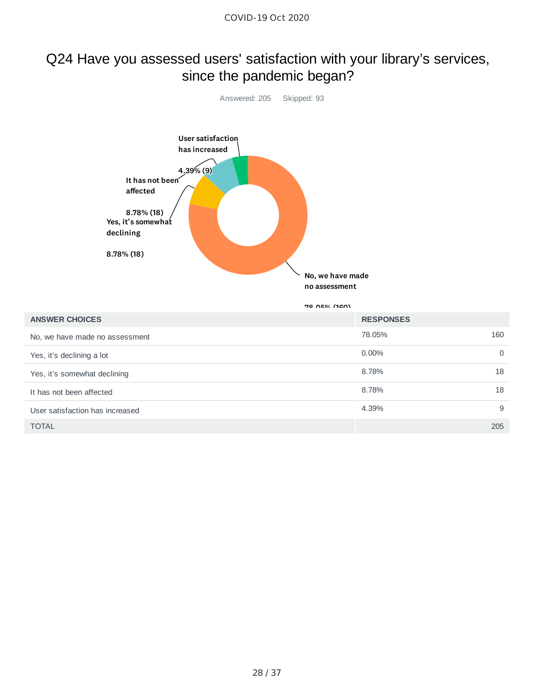### Q24 Have you assessed users' satisfaction with your library's services, since the pandemic began?



70 AEM (120)

| <b>ANSWER CHOICES</b>           | <b>RESPONSES</b> |          |
|---------------------------------|------------------|----------|
| No, we have made no assessment  | 78.05%           | 160      |
| Yes, it's declining a lot       | $0.00\%$         | $\Omega$ |
| Yes, it's somewhat declining    | 8.78%            | 18       |
| It has not been affected        | 8.78%            | 18       |
| User satisfaction has increased | 4.39%            | 9        |
| <b>TOTAL</b>                    |                  | 205      |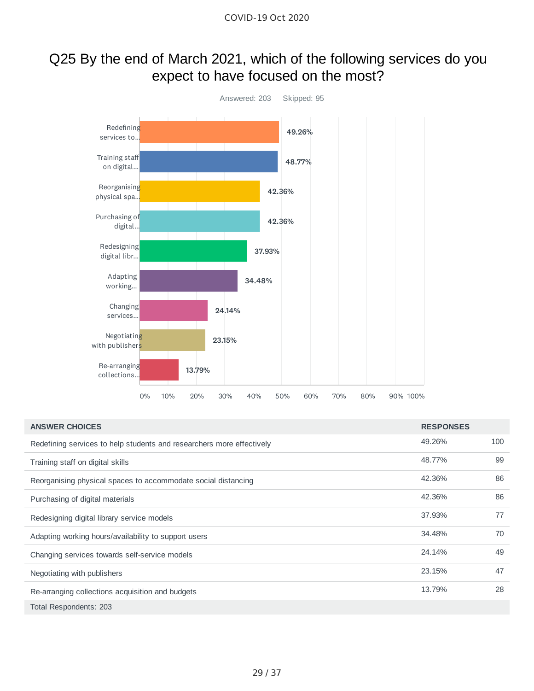# Q25 By the end of March 2021, which of the following services do you expect to have focused on the most?



| <b>ANSWER CHOICES</b>                                                 | <b>RESPONSES</b> |     |
|-----------------------------------------------------------------------|------------------|-----|
| Redefining services to help students and researchers more effectively | 49.26%           | 100 |
| Training staff on digital skills                                      | 48.77%           | 99  |
| Reorganising physical spaces to accommodate social distancing         | 42.36%           | 86  |
| Purchasing of digital materials                                       | 42.36%           | 86  |
| Redesigning digital library service models                            | 37.93%           | 77  |
| Adapting working hours/availability to support users                  | 34.48%           | 70  |
| Changing services towards self-service models                         | 24.14%           | 49  |
| Negotiating with publishers                                           | 23.15%           | 47  |
| Re-arranging collections acquisition and budgets                      | 13.79%           | 28  |
| Total Respondents: 203                                                |                  |     |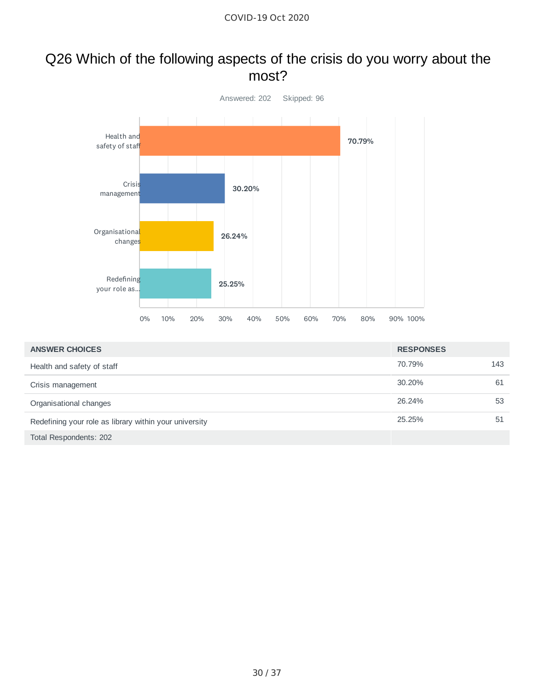#### Q26 Which of the following aspects of the crisis do you worry about the most?



| <b>ANSWER CHOICES</b>                                  | <b>RESPONSES</b> |     |
|--------------------------------------------------------|------------------|-----|
| Health and safety of staff                             | 70.79%           | 143 |
| Crisis management                                      | 30.20%           | 61  |
| Organisational changes                                 | 26.24%           | 53  |
| Redefining your role as library within your university | 25.25%           | 51  |
| Total Respondents: 202                                 |                  |     |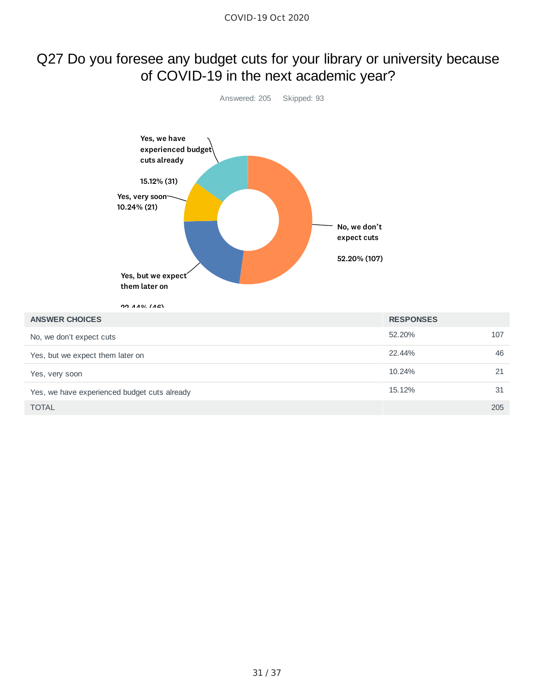#### Q27 Do you foresee any budget cuts for your library or university because of COVID-19 in the next academic year?



TOTAL 205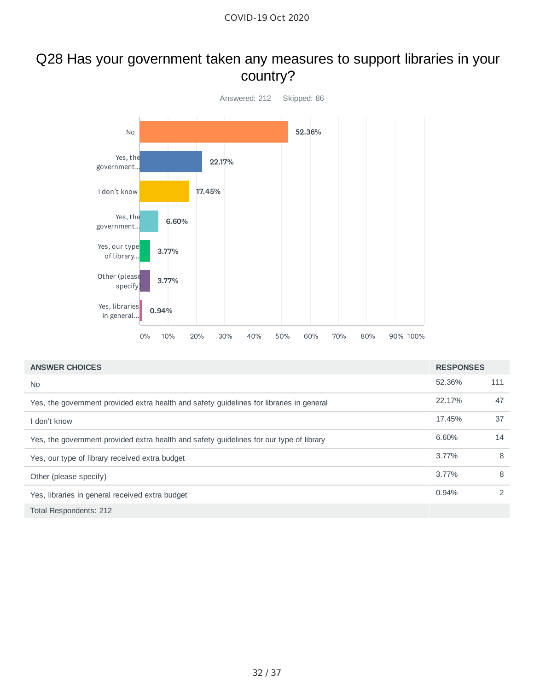## Q28 Has your government taken any measures to support libraries in your country?



| <b>ANSWER CHOICES</b>                                                                    | <b>RESPONSES</b> |               |
|------------------------------------------------------------------------------------------|------------------|---------------|
| No.                                                                                      | 52.36%           | 111           |
| Yes, the government provided extra health and safety guidelines for libraries in general | 22.17%           | 47            |
| I don't know                                                                             | 17.45%           | 37            |
| Yes, the government provided extra health and safety guidelines for our type of library  | 6.60%            | 14            |
| Yes, our type of library received extra budget                                           | 3.77%            | 8             |
| Other (please specify)                                                                   | 3.77%            | 8             |
| Yes, libraries in general received extra budget                                          | 0.94%            | $\mathcal{P}$ |
| Total Respondents: 212                                                                   |                  |               |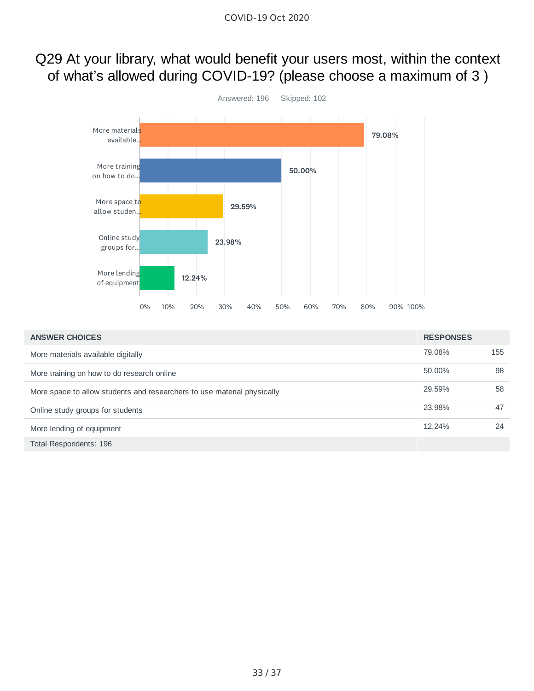### Q29 At your library, what would benefit your users most, within the context of what's allowed during COVID-19? (please choose a maximum of 3 )



| <b>ANSWER CHOICES</b>                                                   | <b>RESPONSES</b> |     |
|-------------------------------------------------------------------------|------------------|-----|
| More materials available digitally                                      | 79.08%           | 155 |
| More training on how to do research online                              | 50.00%           | 98  |
| More space to allow students and researchers to use material physically | 29.59%           | 58  |
| Online study groups for students                                        | 23.98%           | 47  |
| More lending of equipment                                               | 12.24%           | 24  |
| Total Respondents: 196                                                  |                  |     |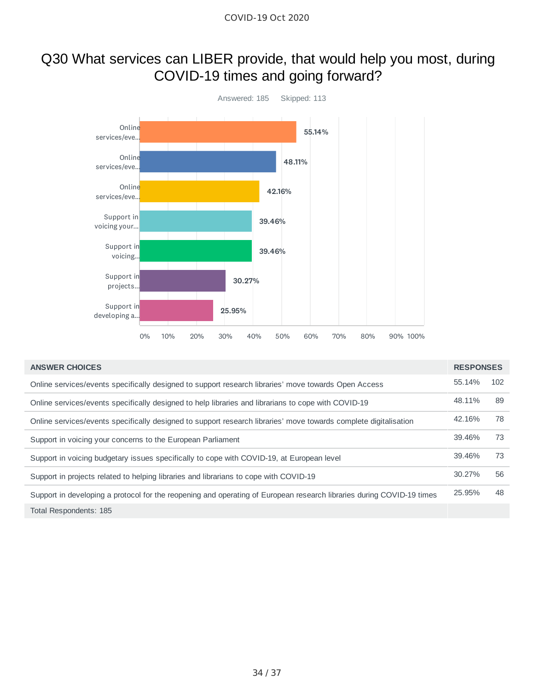#### Q30 What services can LIBER provide, that would help you most, during COVID-19 times and going forward?



| <b>ANSWER CHOICES</b>                                                                                                 | <b>RESPONSES</b> |     |
|-----------------------------------------------------------------------------------------------------------------------|------------------|-----|
| Online services/events specifically designed to support research libraries' move towards Open Access                  | 55.14%           | 102 |
| Online services/events specifically designed to help libraries and librarians to cope with COVID-19                   | 48.11%           | 89  |
| Online services/events specifically designed to support research libraries' move towards complete digitalisation      | 42.16%           | 78  |
| Support in voicing your concerns to the European Parliament                                                           | 39.46%           | 73  |
| Support in voicing budgetary issues specifically to cope with COVID-19, at European level                             | 39.46%           | 73  |
| Support in projects related to helping libraries and librarians to cope with COVID-19                                 | 30.27%           | 56  |
| Support in developing a protocol for the reopening and operating of European research libraries during COVID-19 times | 25.95%           | 48  |
| Total Respondents: 185                                                                                                |                  |     |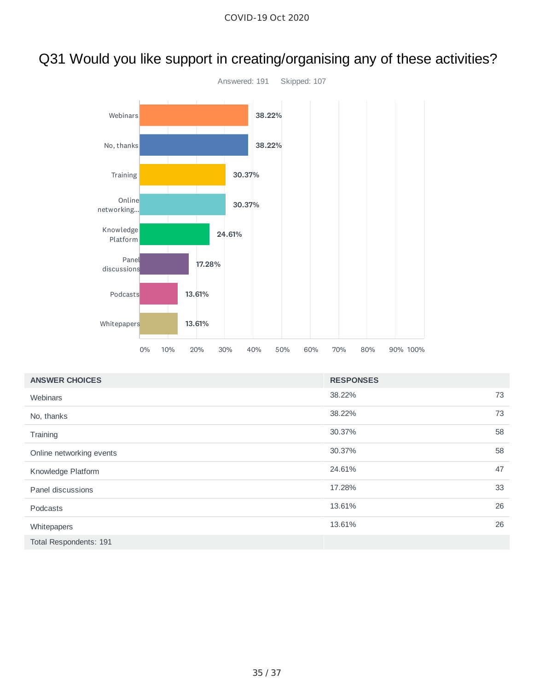# Q31 Would you like support in creating/organising any of these activities?



| <b>ANSWER CHOICES</b>    | <b>RESPONSES</b> |    |
|--------------------------|------------------|----|
| Webinars                 | 38.22%           | 73 |
| No, thanks               | 38.22%           | 73 |
| Training                 | 30.37%           | 58 |
| Online networking events | 30.37%           | 58 |
| Knowledge Platform       | 24.61%           | 47 |
| Panel discussions        | 17.28%           | 33 |
| Podcasts                 | 13.61%           | 26 |
| Whitepapers              | 13.61%           | 26 |
| Total Respondents: 191   |                  |    |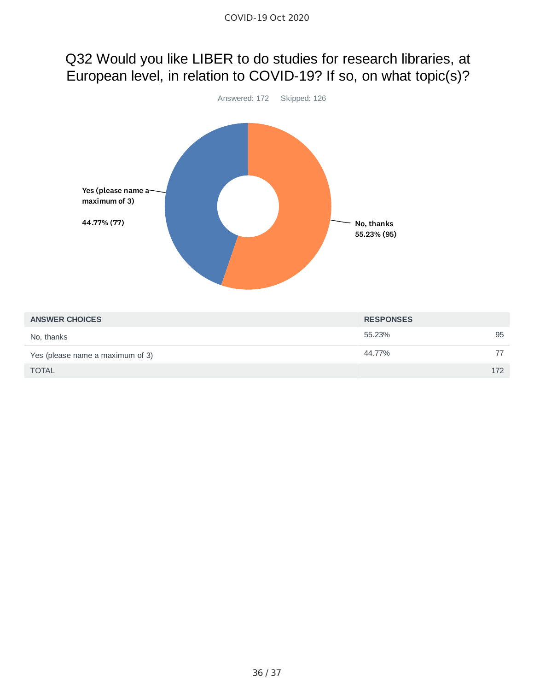# Q32 Would you like LIBER to do studies for research libraries, at European level, in relation to COVID-19? If so, on what topic(s)?



| <b>ANSWER CHOICES</b>            | <b>RESPONSES</b> |     |
|----------------------------------|------------------|-----|
| No, thanks                       | 55.23%           | 95  |
| Yes (please name a maximum of 3) | 44.77%           | 77  |
| <b>TOTAL</b>                     |                  | 172 |